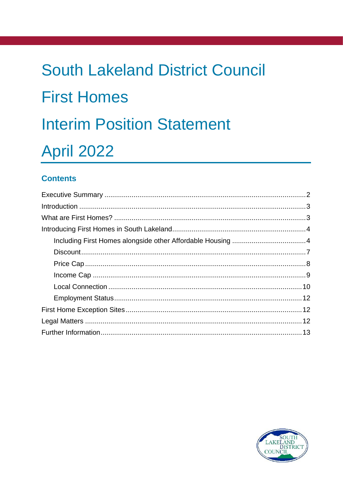# **South Lakeland District Council First Homes Interim Position Statement April 2022**

#### **Contents**

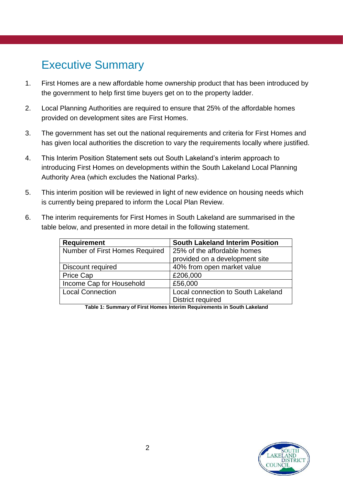## <span id="page-1-0"></span>Executive Summary

- 1. First Homes are a new affordable home ownership product that has been introduced by the government to help first time buyers get on to the property ladder.
- 2. Local Planning Authorities are required to ensure that 25% of the affordable homes provided on development sites are First Homes.
- 3. The government has set out the national requirements and criteria for First Homes and has given local authorities the discretion to vary the requirements locally where justified.
- 4. This Interim Position Statement sets out South Lakeland's interim approach to introducing First Homes on developments within the South Lakeland Local Planning Authority Area (which excludes the National Parks).
- 5. This interim position will be reviewed in light of new evidence on housing needs which is currently being prepared to inform the Local Plan Review.
- 6. The interim requirements for First Homes in South Lakeland are summarised in the table below, and presented in more detail in the following statement.

| <b>Requirement</b>             | <b>South Lakeland Interim Position</b> |
|--------------------------------|----------------------------------------|
| Number of First Homes Required | 25% of the affordable homes            |
|                                | provided on a development site         |
| Discount required              | 40% from open market value             |
| <b>Price Cap</b>               | £206,000                               |
| Income Cap for Household       | £56,000                                |
| <b>Local Connection</b>        | Local connection to South Lakeland     |
|                                | District required                      |

**Table 1: Summary of First Homes Interim Requirements in South Lakeland**

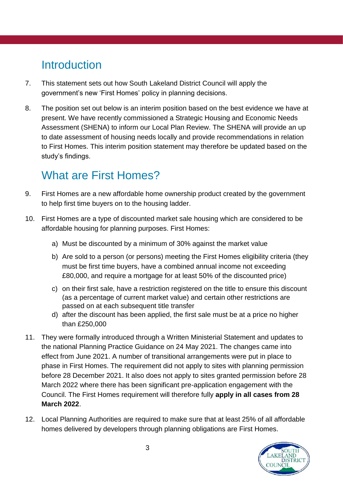# <span id="page-2-0"></span>**Introduction**

- 7. This statement sets out how South Lakeland District Council will apply the government's new 'First Homes' policy in planning decisions.
- 8. The position set out below is an interim position based on the best evidence we have at present. We have recently commissioned a Strategic Housing and Economic Needs Assessment (SHENA) to inform our Local Plan Review. The SHENA will provide an up to date assessment of housing needs locally and provide recommendations in relation to First Homes. This interim position statement may therefore be updated based on the study's findings.

# <span id="page-2-1"></span>What are First Homes?

- 9. First Homes are a new affordable home ownership product created by the government to help first time buyers on to the housing ladder.
- 10. First Homes are a type of discounted market sale housing which are considered to be affordable housing for planning purposes. First Homes:
	- a) Must be discounted by a minimum of 30% against the market value
	- b) Are sold to a person (or persons) meeting the First Homes eligibility criteria (they must be first time buyers, have a combined annual income not exceeding £80,000, and require a mortgage for at least 50% of the discounted price)
	- c) on their first sale, have a restriction registered on the title to ensure this discount (as a percentage of current market value) and certain other restrictions are passed on at each subsequent title transfer
	- d) after the discount has been applied, the first sale must be at a price no higher than £250,000
- 11. They were formally introduced through a Written Ministerial Statement and updates to the national Planning Practice Guidance on 24 May 2021. The changes came into effect from June 2021. A number of transitional arrangements were put in place to phase in First Homes. The requirement did not apply to sites with planning permission before 28 December 2021. It also does not apply to sites granted permission before 28 March 2022 where there has been significant pre-application engagement with the Council. The First Homes requirement will therefore fully **apply in all cases from 28 March 2022**.
- 12. Local Planning Authorities are required to make sure that at least 25% of all affordable homes delivered by developers through planning obligations are First Homes.

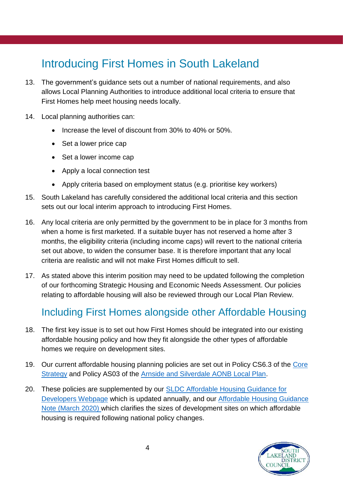# <span id="page-3-0"></span>Introducing First Homes in South Lakeland

- 13. The government's guidance sets out a number of national requirements, and also allows Local Planning Authorities to introduce additional local criteria to ensure that First Homes help meet housing needs locally.
- 14. Local planning authorities can:
	- Increase the level of discount from 30% to 40% or 50%.
	- Set a lower price cap
	- Set a lower income cap
	- Apply a local connection test
	- Apply criteria based on employment status (e.g. prioritise key workers)
- 15. South Lakeland has carefully considered the additional local criteria and this section sets out our local interim approach to introducing First Homes.
- 16. Any local criteria are only permitted by the government to be in place for 3 months from when a home is first marketed. If a suitable buyer has not reserved a home after 3 months, the eligibility criteria (including income caps) will revert to the national criteria set out above, to widen the consumer base. It is therefore important that any local criteria are realistic and will not make First Homes difficult to sell.
- 17. As stated above this interim position may need to be updated following the completion of our forthcoming Strategic Housing and Economic Needs Assessment. Our policies relating to affordable housing will also be reviewed through our Local Plan Review.

#### <span id="page-3-1"></span>Including First Homes alongside other Affordable Housing

- 18. The first key issue is to set out how First Homes should be integrated into our existing affordable housing policy and how they fit alongside the other types of affordable homes we require on development sites.
- 19. Our current affordable housing planning policies are set out in Policy CS6.3 of the [Core](https://www.southlakeland.gov.uk/media/3521/cs01-core-strategy-october-2010.pdf)  [Strategy](https://www.southlakeland.gov.uk/media/3521/cs01-core-strategy-october-2010.pdf) and Policy AS03 of the [Arnside and Silverdale AONB Local Plan.](https://www.southlakeland.gov.uk/media/6461/final-aonb-dpd-adoption-accessible.pdf#page=26)
- 20. These policies are supplemented by our SLDC Affordable Housing Guidance for [Developers](https://www.southlakeland.gov.uk/housing/affordable-housing/affordable-housing-building/) Webpage which is updated annually, and our [Affordable Housing Guidance](https://www.southlakeland.gov.uk/media/7170/affordable-housing-guidance-note-update-march2020.pdf)  [Note \(March 2020\)](https://www.southlakeland.gov.uk/media/7170/affordable-housing-guidance-note-update-march2020.pdf) which clarifies the sizes of development sites on which affordable housing is required following national policy changes.

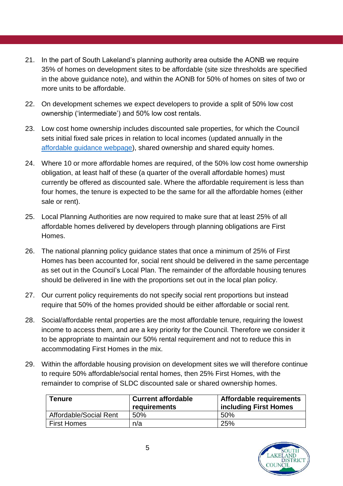- 21. In the part of South Lakeland's planning authority area outside the AONB we require 35% of homes on development sites to be affordable (site size thresholds are specified in the above guidance note), and within the AONB for 50% of homes on sites of two or more units to be affordable.
- 22. On development schemes we expect developers to provide a split of 50% low cost ownership ('intermediate') and 50% low cost rentals.
- 23. Low cost home ownership includes discounted sale properties, for which the Council sets initial fixed sale prices in relation to local incomes (updated annually in the [affordable guidance webpage\)](https://www.southlakeland.gov.uk/housing/affordable-housing/affordable-housing-building/), shared ownership and shared equity homes.
- 24. Where 10 or more affordable homes are required, of the 50% low cost home ownership obligation, at least half of these (a quarter of the overall affordable homes) must currently be offered as discounted sale. Where the affordable requirement is less than four homes, the tenure is expected to be the same for all the affordable homes (either sale or rent).
- 25. Local Planning Authorities are now required to make sure that at least 25% of all affordable homes delivered by developers through planning obligations are First Homes.
- 26. The national planning policy guidance states that once a minimum of 25% of First Homes has been accounted for, social rent should be delivered in the same percentage as set out in the Council's Local Plan. The remainder of the affordable housing tenures should be delivered in line with the proportions set out in the local plan policy.
- 27. Our current policy requirements do not specify social rent proportions but instead require that 50% of the homes provided should be either affordable or social rent.
- 28. Social/affordable rental properties are the most affordable tenure, requiring the lowest income to access them, and are a key priority for the Council. Therefore we consider it to be appropriate to maintain our 50% rental requirement and not to reduce this in accommodating First Homes in the mix.
- 29. Within the affordable housing provision on development sites we will therefore continue to require 50% affordable/social rental homes, then 25% First Homes, with the remainder to comprise of SLDC discounted sale or shared ownership homes.

| <b>Tenure</b>          | <b>Current affordable</b><br>requirements | Affordable requirements<br><b>including First Homes</b> |
|------------------------|-------------------------------------------|---------------------------------------------------------|
| Affordable/Social Rent | 50%                                       | 50%                                                     |
| <b>First Homes</b>     | n/a                                       | 25%                                                     |

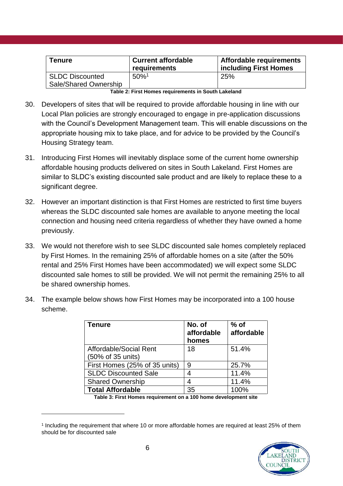| <b>Tenure</b>                                   | <b>Current affordable</b><br>requirements | Affordable requirements<br>including First Homes |
|-------------------------------------------------|-------------------------------------------|--------------------------------------------------|
| <b>SLDC Discounted</b><br>Sale/Shared Ownership | $50\%$ <sup>1</sup>                       | 25%                                              |

**Table 2: First Homes requirements in South Lakeland**

- 30. Developers of sites that will be required to provide affordable housing in line with our Local Plan policies are strongly encouraged to engage in pre-application discussions with the Council's Development Management team. This will enable discussions on the appropriate housing mix to take place, and for advice to be provided by the Council's Housing Strategy team.
- 31. Introducing First Homes will inevitably displace some of the current home ownership affordable housing products delivered on sites in South Lakeland. First Homes are similar to SLDC's existing discounted sale product and are likely to replace these to a significant degree.
- 32. However an important distinction is that First Homes are restricted to first time buyers whereas the SLDC discounted sale homes are available to anyone meeting the local connection and housing need criteria regardless of whether they have owned a home previously.
- 33. We would not therefore wish to see SLDC discounted sale homes completely replaced by First Homes. In the remaining 25% of affordable homes on a site (after the 50% rental and 25% First Homes have been accommodated) we will expect some SLDC discounted sale homes to still be provided. We will not permit the remaining 25% to all be shared ownership homes.
- 34. The example below shows how First Homes may be incorporated into a 100 house scheme.

| <b>Tenure</b>                 | No. of<br>affordable<br>homes | $%$ of<br>affordable |
|-------------------------------|-------------------------------|----------------------|
| Affordable/Social Rent        | 18                            | 51.4%                |
| (50% of 35 units)             |                               |                      |
| First Homes (25% of 35 units) | 9                             | 25.7%                |
| <b>SLDC Discounted Sale</b>   | 4                             | 11.4%                |
| <b>Shared Ownership</b>       | 4                             | 11.4%                |
| <b>Total Affordable</b>       | 35                            | 100%                 |

**Table 3: First Homes requirement on a 100 home development site**

<sup>1</sup> Including the requirement that where 10 or more affordable homes are required at least 25% of them should be for discounted sale



1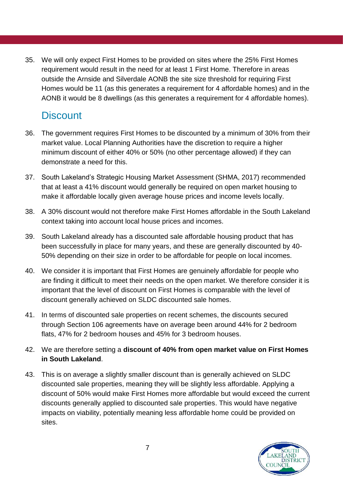<span id="page-6-0"></span>35. We will only expect First Homes to be provided on sites where the 25% First Homes requirement would result in the need for at least 1 First Home. Therefore in areas outside the Arnside and Silverdale AONB the site size threshold for requiring First Homes would be 11 (as this generates a requirement for 4 affordable homes) and in the AONB it would be 8 dwellings (as this generates a requirement for 4 affordable homes).

#### **Discount**

- 36. The government requires First Homes to be discounted by a minimum of 30% from their market value. Local Planning Authorities have the discretion to require a higher minimum discount of either 40% or 50% (no other percentage allowed) if they can demonstrate a need for this.
- 37. South Lakeland's Strategic Housing Market Assessment (SHMA, 2017) recommended that at least a 41% discount would generally be required on open market housing to make it affordable locally given average house prices and income levels locally.
- 38. A 30% discount would not therefore make First Homes affordable in the South Lakeland context taking into account local house prices and incomes.
- 39. South Lakeland already has a discounted sale affordable housing product that has been successfully in place for many years, and these are generally discounted by 40- 50% depending on their size in order to be affordable for people on local incomes.
- 40. We consider it is important that First Homes are genuinely affordable for people who are finding it difficult to meet their needs on the open market. We therefore consider it is important that the level of discount on First Homes is comparable with the level of discount generally achieved on SLDC discounted sale homes.
- 41. In terms of discounted sale properties on recent schemes, the discounts secured through Section 106 agreements have on average been around 44% for 2 bedroom flats, 47% for 2 bedroom houses and 45% for 3 bedroom houses.
- 42. We are therefore setting a **discount of 40% from open market value on First Homes in South Lakeland**.
- 43. This is on average a slightly smaller discount than is generally achieved on SLDC discounted sale properties, meaning they will be slightly less affordable. Applying a discount of 50% would make First Homes more affordable but would exceed the current discounts generally applied to discounted sale properties. This would have negative impacts on viability, potentially meaning less affordable home could be provided on sites.

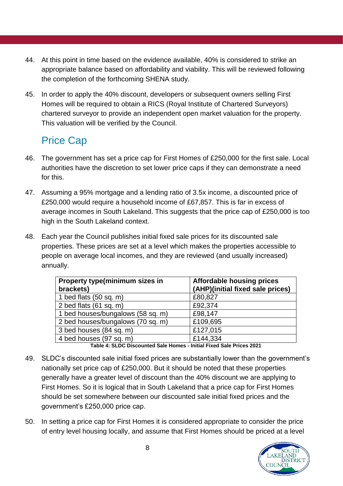- 44. At this point in time based on the evidence available, 40% is considered to strike an appropriate balance based on affordability and viability. This will be reviewed following the completion of the forthcoming SHENA study.
- 45. In order to apply the 40% discount, developers or subsequent owners selling First Homes will be required to obtain a RICS (Royal Institute of Chartered Surveyors) chartered surveyor to provide an independent open market valuation for the property. This valuation will be verified by the Council.

### <span id="page-7-0"></span>Price Cap

- 46. The government has set a price cap for First Homes of £250,000 for the first sale. Local authorities have the discretion to set lower price caps if they can demonstrate a need for this.
- 47. Assuming a 95% mortgage and a lending ratio of 3.5x income, a discounted price of £250,000 would require a household income of £67,857. This is far in excess of average incomes in South Lakeland. This suggests that the price cap of £250,000 is too high in the South Lakeland context.
- 48. Each year the Council publishes initial fixed sale prices for its discounted sale properties. These prices are set at a level which makes the properties accessible to people on average local incomes, and they are reviewed (and usually increased) annually.

| Property type(minimum sizes in<br>brackets) | <b>Affordable housing prices</b><br>(AHP)(initial fixed sale prices) |
|---------------------------------------------|----------------------------------------------------------------------|
| 1 bed flats $(50 sq. m)$                    | £80,827                                                              |
| 2 bed flats $(61 sq. m)$                    | £92,374                                                              |
| 1 bed houses/bungalows (58 sq. m)           | £98,147                                                              |
| 2 bed houses/bungalows (70 sq. m)           | £109,695                                                             |
| 3 bed houses (84 sq. m)                     | £127,015                                                             |
| 4 bed houses (97 sq. m)                     | £144,334                                                             |

**Table 4: SLDC Discounted Sale Homes - Initial Fixed Sale Prices 2021**

- 49. SLDC's discounted sale initial fixed prices are substantially lower than the government's nationally set price cap of £250,000. But it should be noted that these properties generally have a greater level of discount than the 40% discount we are applying to First Homes. So it is logical that in South Lakeland that a price cap for First Homes should be set somewhere between our discounted sale initial fixed prices and the government's £250,000 price cap.
- 50. In setting a price cap for First Homes it is considered appropriate to consider the price of entry level housing locally, and assume that First Homes should be priced at a level

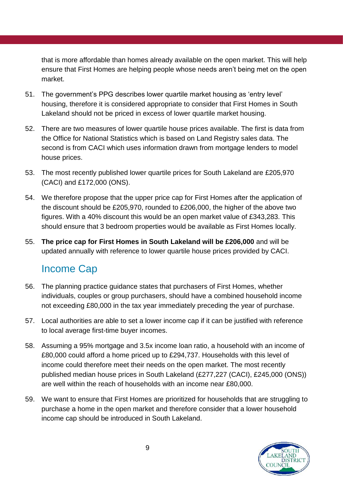that is more affordable than homes already available on the open market. This will help ensure that First Homes are helping people whose needs aren't being met on the open market.

- 51. The government's PPG describes lower quartile market housing as 'entry level' housing, therefore it is considered appropriate to consider that First Homes in South Lakeland should not be priced in excess of lower quartile market housing.
- 52. There are two measures of lower quartile house prices available. The first is data from the Office for National Statistics which is based on Land Registry sales data. The second is from CACI which uses information drawn from mortgage lenders to model house prices.
- 53. The most recently published lower quartile prices for South Lakeland are £205,970 (CACI) and £172,000 (ONS).
- 54. We therefore propose that the upper price cap for First Homes after the application of the discount should be £205,970, rounded to £206,000, the higher of the above two figures. With a 40% discount this would be an open market value of £343,283. This should ensure that 3 bedroom properties would be available as First Homes locally.
- 55. **The price cap for First Homes in South Lakeland will be £206,000** and will be updated annually with reference to lower quartile house prices provided by CACI.

#### <span id="page-8-0"></span>Income Cap

- 56. The planning practice guidance states that purchasers of First Homes, whether individuals, couples or group purchasers, should have a combined household income not exceeding £80,000 in the tax year immediately preceding the year of purchase.
- 57. Local authorities are able to set a lower income cap if it can be justified with reference to local average first-time buyer incomes.
- 58. Assuming a 95% mortgage and 3.5x income loan ratio, a household with an income of £80,000 could afford a home priced up to £294,737. Households with this level of income could therefore meet their needs on the open market. The most recently published median house prices in South Lakeland (£277,227 (CACI), £245,000 (ONS)) are well within the reach of households with an income near £80,000.
- 59. We want to ensure that First Homes are prioritized for households that are struggling to purchase a home in the open market and therefore consider that a lower household income cap should be introduced in South Lakeland.

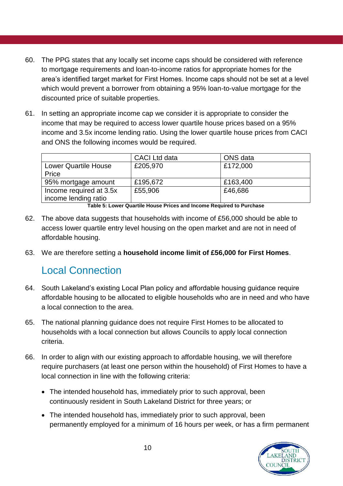- 60. The PPG states that any locally set income caps should be considered with reference to mortgage requirements and loan-to-income ratios for appropriate homes for the area's identified target market for First Homes. Income caps should not be set at a level which would prevent a borrower from obtaining a 95% loan-to-value mortgage for the discounted price of suitable properties.
- 61. In setting an appropriate income cap we consider it is appropriate to consider the income that may be required to access lower quartile house prices based on a 95% income and 3.5x income lending ratio. Using the lower quartile house prices from CACI and ONS the following incomes would be required.

|                                                 | <b>CACI</b> Ltd data | ONS data |
|-------------------------------------------------|----------------------|----------|
| <b>Lower Quartile House</b>                     | £205,970             | £172,000 |
| Price                                           |                      |          |
| 95% mortgage amount                             | £195,672             | £163,400 |
| Income required at 3.5x<br>income lending ratio | £55,906              | £46,686  |

**Table 5: Lower Quartile House Prices and Income Required to Purchase**

- 62. The above data suggests that households with income of £56,000 should be able to access lower quartile entry level housing on the open market and are not in need of affordable housing.
- 63. We are therefore setting a **household income limit of £56,000 for First Homes**.

#### <span id="page-9-0"></span>Local Connection

- 64. South Lakeland's existing Local Plan policy and affordable housing guidance require affordable housing to be allocated to eligible households who are in need and who have a local connection to the area.
- 65. The national planning guidance does not require First Homes to be allocated to households with a local connection but allows Councils to apply local connection criteria.
- 66. In order to align with our existing approach to affordable housing, we will therefore require purchasers (at least one person within the household) of First Homes to have a local connection in line with the following criteria:
	- The intended household has, immediately prior to such approval, been continuously resident in South Lakeland District for three years; or
	- The intended household has, immediately prior to such approval, been permanently employed for a minimum of 16 hours per week, or has a firm permanent

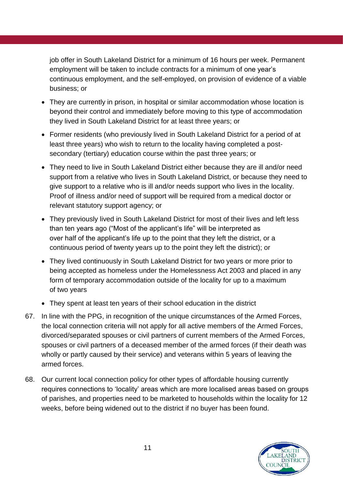job offer in South Lakeland District for a minimum of 16 hours per week. Permanent employment will be taken to include contracts for a minimum of one year's continuous employment, and the self-employed, on provision of evidence of a viable business; or

- They are currently in prison, in hospital or similar accommodation whose location is beyond their control and immediately before moving to this type of accommodation they lived in South Lakeland District for at least three years; or
- Former residents (who previously lived in South Lakeland District for a period of at least three years) who wish to return to the locality having completed a postsecondary (tertiary) education course within the past three years; or
- They need to live in South Lakeland District either because they are ill and/or need support from a relative who lives in South Lakeland District, or because they need to give support to a relative who is ill and/or needs support who lives in the locality. Proof of illness and/or need of support will be required from a medical doctor or relevant statutory support agency; or
- They previously lived in South Lakeland District for most of their lives and left less than ten years ago ("Most of the applicant's life" will be interpreted as over half of the applicant's life up to the point that they left the district, or a continuous period of twenty years up to the point they left the district); or
- They lived continuously in South Lakeland District for two years or more prior to being accepted as homeless under the Homelessness Act 2003 and placed in any form of temporary accommodation outside of the locality for up to a maximum of two years
- They spent at least ten years of their school education in the district
- 67. In line with the PPG, in recognition of the unique circumstances of the Armed Forces, the local connection criteria will not apply for all active members of the Armed Forces, divorced/separated spouses or civil partners of current members of the Armed Forces, spouses or civil partners of a deceased member of the armed forces (if their death was wholly or partly caused by their service) and veterans within 5 years of leaving the armed forces.
- 68. Our current local connection policy for other types of affordable housing currently requires connections to 'locality' areas which are more localised areas based on groups of parishes, and properties need to be marketed to households within the locality for 12 weeks, before being widened out to the district if no buyer has been found.

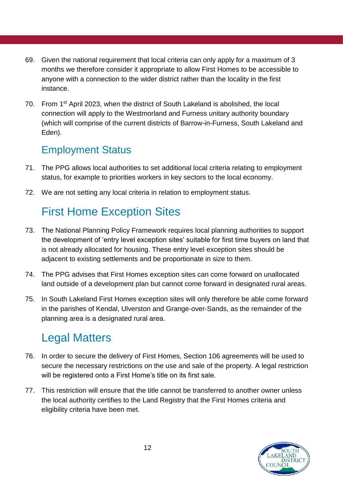- 69. Given the national requirement that local criteria can only apply for a maximum of 3 months we therefore consider it appropriate to allow First Homes to be accessible to anyone with a connection to the wider district rather than the locality in the first instance.
- <span id="page-11-0"></span>70. From 1st April 2023, when the district of South Lakeland is abolished, the local connection will apply to the Westmorland and Furness unitary authority boundary (which will comprise of the current districts of Barrow-in-Furness, South Lakeland and Eden).

#### Employment Status

- 71. The PPG allows local authorities to set additional local criteria relating to employment status, for example to priorities workers in key sectors to the local economy.
- 72. We are not setting any local criteria in relation to employment status.

# <span id="page-11-1"></span>First Home Exception Sites

- 73. The National Planning Policy Framework requires local planning authorities to support the development of 'entry level exception sites' suitable for first time buyers on land that is not already allocated for housing. These entry level exception sites should be adjacent to existing settlements and be proportionate in size to them.
- 74. The PPG advises that First Homes exception sites can come forward on unallocated land outside of a development plan but cannot come forward in designated rural areas.
- 75. In South Lakeland First Homes exception sites will only therefore be able come forward in the parishes of Kendal, Ulverston and Grange-over-Sands, as the remainder of the planning area is a designated rural area.

## <span id="page-11-2"></span>Legal Matters

- 76. In order to secure the delivery of First Homes, Section 106 agreements will be used to secure the necessary restrictions on the use and sale of the property. A legal restriction will be registered onto a First Home's title on its first sale.
- 77. This restriction will ensure that the title cannot be transferred to another owner unless the local authority certifies to the Land Registry that the First Homes criteria and eligibility criteria have been met.

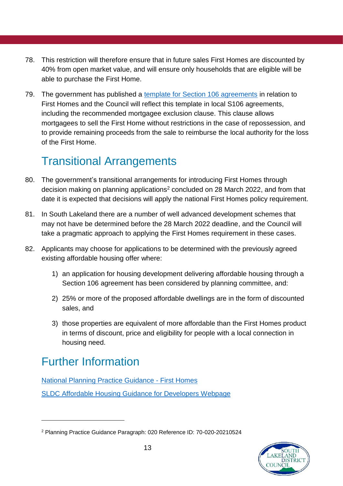- 78. This restriction will therefore ensure that in future sales First Homes are discounted by 40% from open market value, and will ensure only households that are eligible will be able to purchase the First Home.
- 79. The government has published a [template for Section 106 agreements](https://www.gov.uk/government/publications/first-homes-model-section-106-agreement-for-developer-contributions) in relation to First Homes and the Council will reflect this template in local S106 agreements, including the recommended mortgagee exclusion clause. This clause allows mortgagees to sell the First Home without restrictions in the case of repossession, and to provide remaining proceeds from the sale to reimburse the local authority for the loss of the First Home.

## Transitional Arrangements

- 80. The government's transitional arrangements for introducing First Homes through decision making on planning applications<sup>2</sup> concluded on 28 March 2022, and from that date it is expected that decisions will apply the national First Homes policy requirement.
- 81. In South Lakeland there are a number of well advanced development schemes that may not have be determined before the 28 March 2022 deadline, and the Council will take a pragmatic approach to applying the First Homes requirement in these cases.
- 82. Applicants may choose for applications to be determined with the previously agreed existing affordable housing offer where:
	- 1) an application for housing development delivering affordable housing through a Section 106 agreement has been considered by planning committee, and:
	- 2) 25% or more of the proposed affordable dwellings are in the form of discounted sales, and
	- 3) those properties are equivalent of more affordable than the First Homes product in terms of discount, price and eligibility for people with a local connection in housing need.

# <span id="page-12-0"></span>Further Information

1

[National Planning Practice Guidance -](https://www.gov.uk/guidance/first-homes) First Homes [SLDC Affordable Housing Guidance for Developers](https://www.southlakeland.gov.uk/housing/affordable-housing/affordable-housing-building/) Webpage

<sup>2</sup> Planning Practice Guidance Paragraph: 020 Reference ID: 70-020-20210524